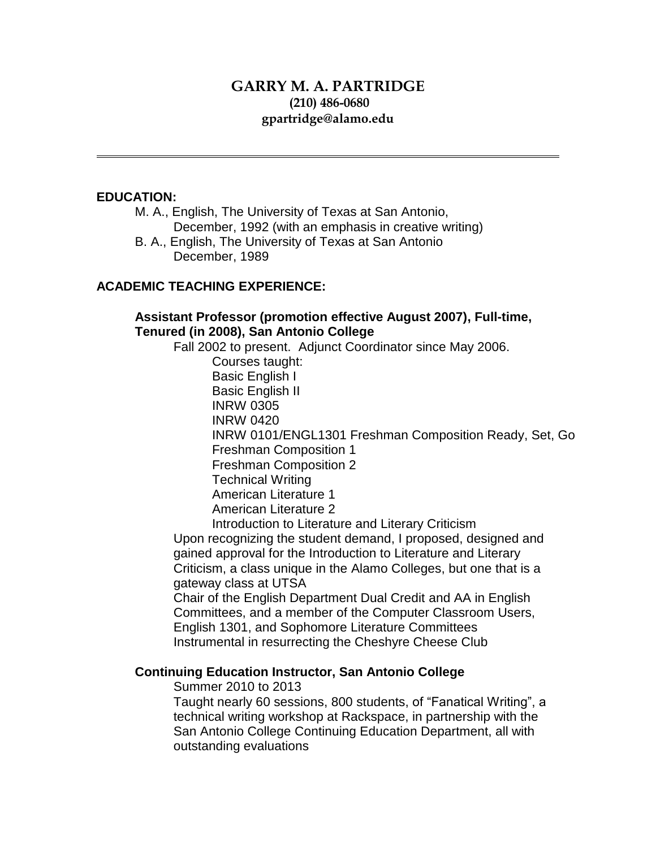# **GARRY M. A. PARTRIDGE (210) 486-0680 gpartridge@alamo.edu**

### **EDUCATION:**

M. A., English, The University of Texas at San Antonio, December, 1992 (with an emphasis in creative writing)

B. A., English, The University of Texas at San Antonio December, 1989

### **ACADEMIC TEACHING EXPERIENCE:**

**Assistant Professor (promotion effective August 2007), Full-time, Tenured (in 2008), San Antonio College**

Fall 2002 to present. Adjunct Coordinator since May 2006.

Courses taught:

Basic English I

Basic English II

- INRW 0305 INRW 0420
- 

INRW 0101/ENGL1301 Freshman Composition Ready, Set, Go Freshman Composition 1

Freshman Composition 2

Technical Writing

American Literature 1

American Literature 2

Introduction to Literature and Literary Criticism

Upon recognizing the student demand, I proposed, designed and gained approval for the Introduction to Literature and Literary Criticism, a class unique in the Alamo Colleges, but one that is a gateway class at UTSA

Chair of the English Department Dual Credit and AA in English Committees, and a member of the Computer Classroom Users, English 1301, and Sophomore Literature Committees Instrumental in resurrecting the Cheshyre Cheese Club

# **Continuing Education Instructor, San Antonio College**

Summer 2010 to 2013

Taught nearly 60 sessions, 800 students, of "Fanatical Writing", a technical writing workshop at Rackspace, in partnership with the San Antonio College Continuing Education Department, all with outstanding evaluations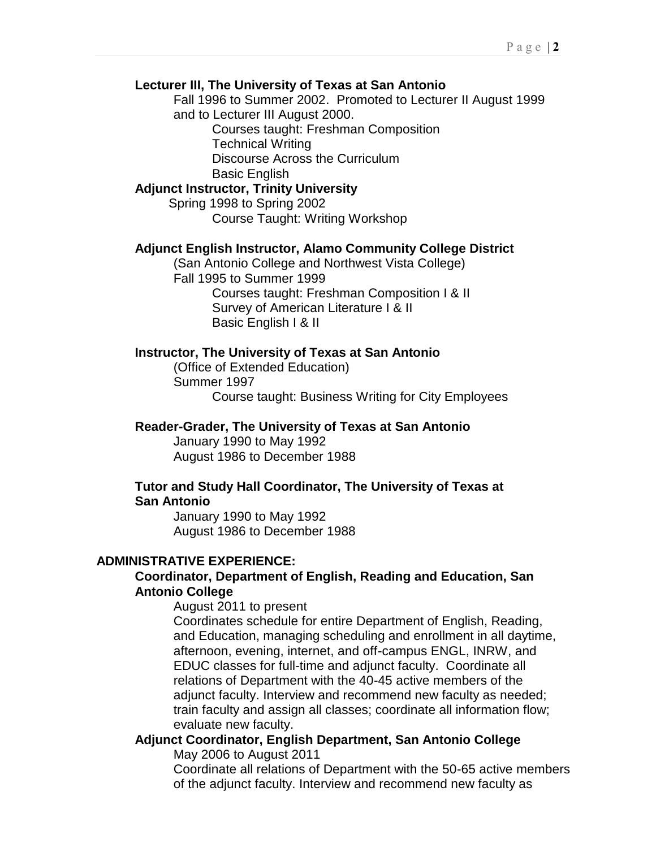#### **Lecturer III, The University of Texas at San Antonio**

Fall 1996 to Summer 2002. Promoted to Lecturer II August 1999 and to Lecturer III August 2000.

> Courses taught: Freshman Composition Technical Writing Discourse Across the Curriculum Basic English

# **Adjunct Instructor, Trinity University**

Spring 1998 to Spring 2002 Course Taught: Writing Workshop

#### **Adjunct English Instructor, Alamo Community College District**

(San Antonio College and Northwest Vista College) Fall 1995 to Summer 1999 Courses taught: Freshman Composition I & II Survey of American Literature I & II Basic English I & II

### **Instructor, The University of Texas at San Antonio**

(Office of Extended Education) Summer 1997 Course taught: Business Writing for City Employees

#### **Reader-Grader, The University of Texas at San Antonio**

January 1990 to May 1992 August 1986 to December 1988

#### **Tutor and Study Hall Coordinator, The University of Texas at San Antonio**

January 1990 to May 1992 August 1986 to December 1988

#### **ADMINISTRATIVE EXPERIENCE:**

# **Coordinator, Department of English, Reading and Education, San Antonio College**

August 2011 to present

Coordinates schedule for entire Department of English, Reading, and Education, managing scheduling and enrollment in all daytime, afternoon, evening, internet, and off-campus ENGL, INRW, and EDUC classes for full-time and adjunct faculty. Coordinate all relations of Department with the 40-45 active members of the adjunct faculty. Interview and recommend new faculty as needed; train faculty and assign all classes; coordinate all information flow; evaluate new faculty.

### **Adjunct Coordinator, English Department, San Antonio College** May 2006 to August 2011

Coordinate all relations of Department with the 50-65 active members of the adjunct faculty. Interview and recommend new faculty as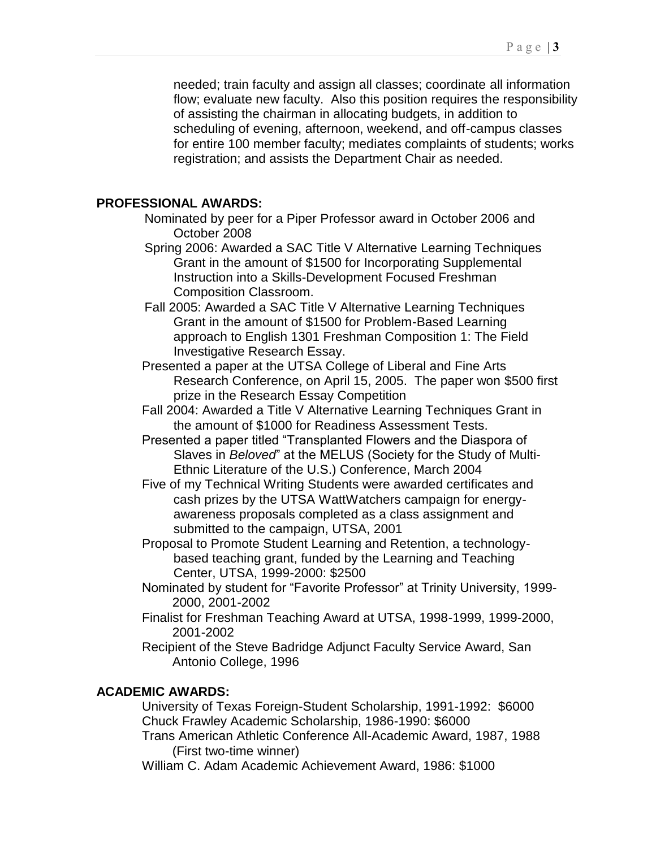needed; train faculty and assign all classes; coordinate all information flow; evaluate new faculty. Also this position requires the responsibility of assisting the chairman in allocating budgets, in addition to scheduling of evening, afternoon, weekend, and off-campus classes for entire 100 member faculty; mediates complaints of students; works registration; and assists the Department Chair as needed.

### **PROFESSIONAL AWARDS:**

Nominated by peer for a Piper Professor award in October 2006 and October 2008

- Spring 2006: Awarded a SAC Title V Alternative Learning Techniques Grant in the amount of \$1500 for Incorporating Supplemental Instruction into a Skills-Development Focused Freshman Composition Classroom.
- Fall 2005: Awarded a SAC Title V Alternative Learning Techniques Grant in the amount of \$1500 for Problem-Based Learning approach to English 1301 Freshman Composition 1: The Field Investigative Research Essay.
- Presented a paper at the UTSA College of Liberal and Fine Arts Research Conference, on April 15, 2005. The paper won \$500 first prize in the Research Essay Competition
- Fall 2004: Awarded a Title V Alternative Learning Techniques Grant in the amount of \$1000 for Readiness Assessment Tests.
- Presented a paper titled "Transplanted Flowers and the Diaspora of Slaves in *Beloved*" at the MELUS (Society for the Study of Multi-Ethnic Literature of the U.S.) Conference, March 2004
- Five of my Technical Writing Students were awarded certificates and cash prizes by the UTSA WattWatchers campaign for energyawareness proposals completed as a class assignment and submitted to the campaign, UTSA, 2001
- Proposal to Promote Student Learning and Retention, a technologybased teaching grant, funded by the Learning and Teaching Center, UTSA, 1999-2000: \$2500
- Nominated by student for "Favorite Professor" at Trinity University, 1999- 2000, 2001-2002
- Finalist for Freshman Teaching Award at UTSA, 1998-1999, 1999-2000, 2001-2002
- Recipient of the Steve Badridge Adjunct Faculty Service Award, San Antonio College, 1996

### **ACADEMIC AWARDS:**

University of Texas Foreign-Student Scholarship, 1991-1992: \$6000 Chuck Frawley Academic Scholarship, 1986-1990: \$6000

Trans American Athletic Conference All-Academic Award, 1987, 1988 (First two-time winner)

William C. Adam Academic Achievement Award, 1986: \$1000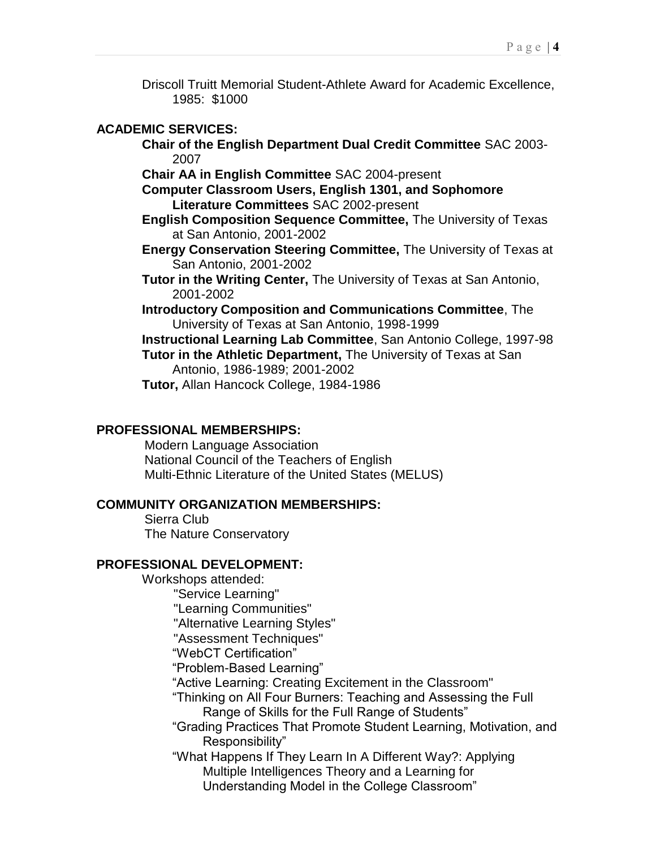Driscoll Truitt Memorial Student-Athlete Award for Academic Excellence, 1985: \$1000

#### **ACADEMIC SERVICES:**

**Chair of the English Department Dual Credit Committee** SAC 2003- 2007

**Chair AA in English Committee** SAC 2004-present

- **Computer Classroom Users, English 1301, and Sophomore Literature Committees** SAC 2002-present
- **English Composition Sequence Committee,** The University of Texas at San Antonio, 2001-2002
- **Energy Conservation Steering Committee,** The University of Texas at San Antonio, 2001-2002
- **Tutor in the Writing Center,** The University of Texas at San Antonio, 2001-2002
- **Introductory Composition and Communications Committee**, The University of Texas at San Antonio, 1998-1999

**Instructional Learning Lab Committee**, San Antonio College, 1997-98 **Tutor in the Athletic Department,** The University of Texas at San Antonio, 1986-1989; 2001-2002

**Tutor,** Allan Hancock College, 1984-1986

### **PROFESSIONAL MEMBERSHIPS:**

Modern Language Association National Council of the Teachers of English Multi-Ethnic Literature of the United States (MELUS)

#### **COMMUNITY ORGANIZATION MEMBERSHIPS:**

Sierra Club The Nature Conservatory

#### **PROFESSIONAL DEVELOPMENT:**

Workshops attended: "Service Learning" "Learning Communities" "Alternative Learning Styles" "Assessment Techniques" "WebCT Certification" "Problem-Based Learning" "Active Learning: Creating Excitement in the Classroom" "Thinking on All Four Burners: Teaching and Assessing the Full Range of Skills for the Full Range of Students" "Grading Practices That Promote Student Learning, Motivation, and Responsibility" "What Happens If They Learn In A Different Way?: Applying Multiple Intelligences Theory and a Learning for Understanding Model in the College Classroom"